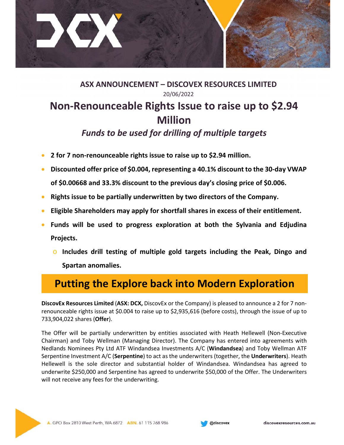

**ASX ANNOUNCEMENT – DISCOVEX RESOURCES LIMITED**  20/06/2022

## **Non‐Renounceable Rights Issue to raise up to \$2.94 Million**

## *Funds to be used for drilling of multiple targets*

- **2** for 7 non-renounceable rights issue to raise up to \$2.94 million.
- **Discounted offer price of \$0.004, representing a 40.1% discount to the 30‐day VWAP of \$0.00668 and 33.3% discount to the previous day's closing price of \$0.006.**
- **Rights issue to be partially underwritten by two directors of the Company.**
- **Eligible Shareholders may apply for shortfall shares in excess of their entitlement.**
- **Funds will be used to progress exploration at both the Sylvania and Edjudina Projects.** 
	- o **Includes drill testing of multiple gold targets including the Peak, Dingo and Spartan anomalies.**

## **Putting the Explore back into Modern Exploration**

**DiscovEx Resources Limited** (**ASX: DCX,** DiscovEx or the Company) is pleased to announce a 2 for 7 non‐ renounceable rights issue at \$0.004 to raise up to \$2,935,616 (before costs), through the issue of up to 733,904,022 shares (**Offer**).

The Offer will be partially underwritten by entities associated with Heath Hellewell (Non‐Executive Chairman) and Toby Wellman (Managing Director). The Company has entered into agreements with Nedlands Nominees Pty Ltd ATF Windandsea Investments A/C (**Windandsea**) and Toby Wellman ATF Serpentine Investment A/C (**Serpentine**) to act as the underwriters (together, the **Underwriters**). Heath Hellewell is the sole director and substantial holder of Windandsea. Windandsea has agreed to underwrite \$250,000 and Serpentine has agreed to underwrite \$50,000 of the Offer. The Underwriters will not receive any fees for the underwriting.



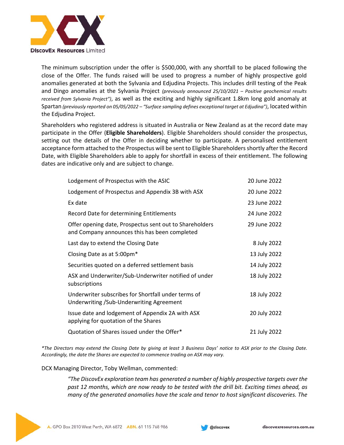

The minimum subscription under the offer is \$500,000, with any shortfall to be placed following the close of the Offer. The funds raised will be used to progress a number of highly prospective gold anomalies generated at both the Sylvania and Edjudina Projects. This includes drill testing of the Peak and Dingo anomalies at the Sylvania Project *(previously announced 25/10/2021 – Positive geochemical results received from Sylvania Project"*), as well as the exciting and highly significant 1.8km long gold anomaly at Spartan *(previously reported on 05/05/2022 – "Surface sampling defines exceptional target at Edjudina")*, located within the Edjudina Project.

Shareholders who registered address is situated in Australia or New Zealand as at the record date may participate in the Offer (**Eligible Shareholders**). Eligible Shareholders should consider the prospectus, setting out the details of the Offer in deciding whether to participate. A personalised entitlement acceptance form attached to the Prospectus will be sent to Eligible Shareholders shortly after the Record Date, with Eligible Shareholders able to apply for shortfall in excess of their entitlement. The following dates are indicative only and are subject to change.

| Lodgement of Prospectus with the ASIC                                                                    | 20 June 2022 |
|----------------------------------------------------------------------------------------------------------|--------------|
| Lodgement of Prospectus and Appendix 3B with ASX                                                         | 20 June 2022 |
| Ex date                                                                                                  | 23 June 2022 |
| Record Date for determining Entitlements                                                                 | 24 June 2022 |
| Offer opening date, Prospectus sent out to Shareholders<br>and Company announces this has been completed | 29 June 2022 |
| Last day to extend the Closing Date                                                                      | 8 July 2022  |
| Closing Date as at 5:00pm*                                                                               | 13 July 2022 |
| Securities quoted on a deferred settlement basis                                                         | 14 July 2022 |
| ASX and Underwriter/Sub-Underwriter notified of under<br>subscriptions                                   | 18 July 2022 |
| Underwriter subscribes for Shortfall under terms of<br>Underwriting / Sub-Underwriting Agreement         | 18 July 2022 |
| Issue date and lodgement of Appendix 2A with ASX<br>applying for quotation of the Shares                 | 20 July 2022 |
| Quotation of Shares issued under the Offer*                                                              | 21 July 2022 |

*\*The Directors may extend the Closing Date by giving at least 3 Business Days' notice to ASX prior to the Closing Date. Accordingly, the date the Shares are expected to commence trading on ASX may vary.* 

DCX Managing Director, Toby Wellman, commented:

*"The DiscovEx exploration team has generated a number of highly prospective targets over the past 12 months, which are now ready to be tested with the drill bit. Exciting times ahead, as many of the generated anomalies have the scale and tenor to host significant discoveries. The*